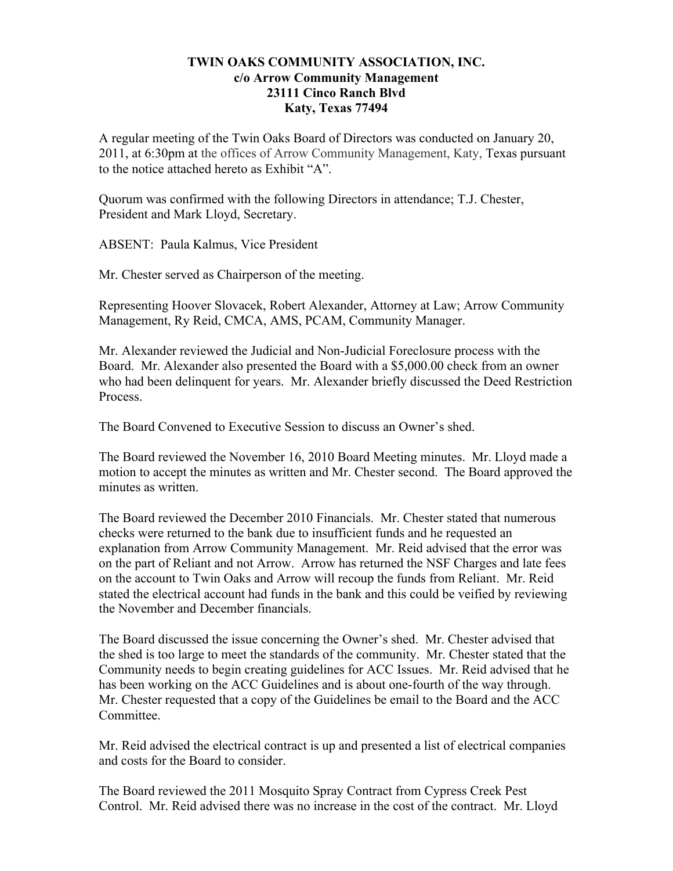## **TWIN OAKS COMMUNITY ASSOCIATION, INC. c/o Arrow Community Management 23111 Cinco Ranch Blvd Katy, Texas 77494**

A regular meeting of the Twin Oaks Board of Directors was conducted on January 20, 2011, at 6:30pm at the offices of Arrow Community Management, Katy, Texas pursuant to the notice attached hereto as Exhibit "A".

Quorum was confirmed with the following Directors in attendance; T.J. Chester, President and Mark Lloyd, Secretary.

ABSENT: Paula Kalmus, Vice President

Mr. Chester served as Chairperson of the meeting.

Representing Hoover Slovacek, Robert Alexander, Attorney at Law; Arrow Community Management, Ry Reid, CMCA, AMS, PCAM, Community Manager.

Mr. Alexander reviewed the Judicial and Non-Judicial Foreclosure process with the Board. Mr. Alexander also presented the Board with a \$5,000.00 check from an owner who had been delinquent for years. Mr. Alexander briefly discussed the Deed Restriction Process.

The Board Convened to Executive Session to discuss an Owner's shed.

The Board reviewed the November 16, 2010 Board Meeting minutes. Mr. Lloyd made a motion to accept the minutes as written and Mr. Chester second. The Board approved the minutes as written.

The Board reviewed the December 2010 Financials. Mr. Chester stated that numerous checks were returned to the bank due to insufficient funds and he requested an explanation from Arrow Community Management. Mr. Reid advised that the error was on the part of Reliant and not Arrow. Arrow has returned the NSF Charges and late fees on the account to Twin Oaks and Arrow will recoup the funds from Reliant. Mr. Reid stated the electrical account had funds in the bank and this could be veified by reviewing the November and December financials.

The Board discussed the issue concerning the Owner's shed. Mr. Chester advised that the shed is too large to meet the standards of the community. Mr. Chester stated that the Community needs to begin creating guidelines for ACC Issues. Mr. Reid advised that he has been working on the ACC Guidelines and is about one-fourth of the way through. Mr. Chester requested that a copy of the Guidelines be email to the Board and the ACC Committee.

Mr. Reid advised the electrical contract is up and presented a list of electrical companies and costs for the Board to consider.

The Board reviewed the 2011 Mosquito Spray Contract from Cypress Creek Pest Control. Mr. Reid advised there was no increase in the cost of the contract. Mr. Lloyd